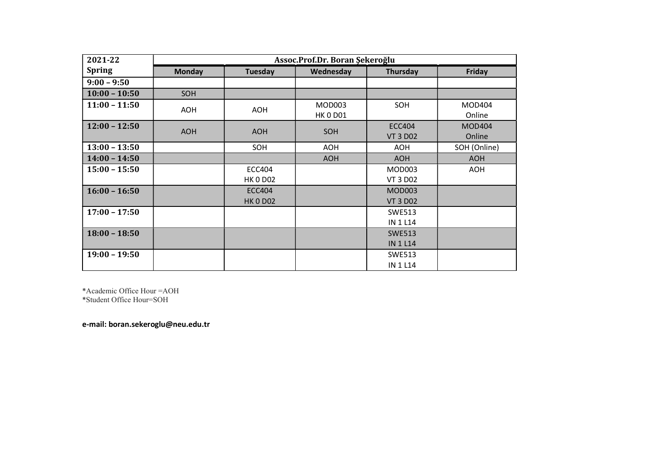| 2021-22         | Assoc.Prof.Dr. Boran Şekeroğlu |                                  |                           |                                  |                         |  |
|-----------------|--------------------------------|----------------------------------|---------------------------|----------------------------------|-------------------------|--|
| <b>Spring</b>   | <b>Monday</b>                  | Tuesday                          | Wednesday                 | Thursday                         | Friday                  |  |
| $9:00 - 9:50$   |                                |                                  |                           |                                  |                         |  |
| $10:00 - 10:50$ | SOH                            |                                  |                           |                                  |                         |  |
| $11:00 - 11:50$ | <b>AOH</b>                     | <b>AOH</b>                       | MOD003<br><b>HK 0 D01</b> | SOH                              | <b>MOD404</b><br>Online |  |
| $12:00 - 12:50$ | <b>AOH</b>                     | <b>AOH</b>                       | SOH                       | <b>ECC404</b><br><b>VT 3 D02</b> | <b>MOD404</b><br>Online |  |
| $13:00 - 13:50$ |                                | SOH                              | AOH                       | <b>AOH</b>                       | SOH (Online)            |  |
| $14:00 - 14:50$ |                                |                                  | <b>AOH</b>                | <b>AOH</b>                       | <b>AOH</b>              |  |
| $15:00 - 15:50$ |                                | <b>ECC404</b><br><b>HK 0 D02</b> |                           | MOD003<br><b>VT 3 D02</b>        | <b>AOH</b>              |  |
| $16:00 - 16:50$ |                                | <b>ECC404</b><br><b>HK 0 D02</b> |                           | <b>MOD003</b><br><b>VT 3 D02</b> |                         |  |
| $17:00 - 17:50$ |                                |                                  |                           | <b>SWE513</b><br><b>IN 1 L14</b> |                         |  |
| $18:00 - 18:50$ |                                |                                  |                           | <b>SWE513</b><br><b>IN 1 L14</b> |                         |  |
| $19:00 - 19:50$ |                                |                                  |                           | <b>SWE513</b><br><b>IN 1 L14</b> |                         |  |

\*Academic Office Hour =AOH \*Student Office Hour=SOH

e-mail: boran.sekeroglu@neu.edu.tr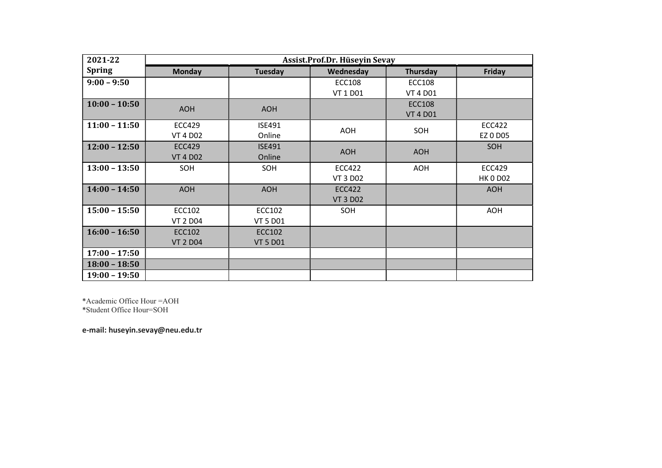| 2021-22         | Assist.Prof.Dr. Hüseyin Sevay |                 |                 |                 |                 |
|-----------------|-------------------------------|-----------------|-----------------|-----------------|-----------------|
| <b>Spring</b>   | <b>Monday</b>                 | Tuesday         | Wednesday       | Thursday        | Friday          |
| $9:00 - 9:50$   |                               |                 | <b>ECC108</b>   | <b>ECC108</b>   |                 |
|                 |                               |                 | VT 1 D01        | <b>VT 4 D01</b> |                 |
| $10:00 - 10:50$ | <b>AOH</b>                    | <b>AOH</b>      |                 | <b>ECC108</b>   |                 |
|                 |                               |                 |                 | <b>VT 4 D01</b> |                 |
| $11:00 - 11:50$ | <b>ECC429</b>                 | <b>ISE491</b>   | AOH             | SOH             | <b>ECC422</b>   |
|                 | <b>VT 4 D02</b>               | Online          |                 |                 | EZ 0 D05        |
| $12:00 - 12:50$ | <b>ECC429</b>                 | <b>ISE491</b>   | <b>AOH</b>      | <b>AOH</b>      | <b>SOH</b>      |
|                 | <b>VT 4 D02</b>               | Online          |                 |                 |                 |
| $13:00 - 13:50$ | SOH                           | SOH             | <b>ECC422</b>   | <b>AOH</b>      | <b>ECC429</b>   |
|                 |                               |                 | <b>VT 3 D02</b> |                 | <b>HK 0 D02</b> |
| $14:00 - 14:50$ | <b>AOH</b>                    | <b>AOH</b>      | <b>ECC422</b>   |                 | <b>AOH</b>      |
|                 |                               |                 | <b>VT 3 D02</b> |                 |                 |
| $15:00 - 15:50$ | ECC102                        | ECC102          | SOH             |                 | <b>AOH</b>      |
|                 | <b>VT 2 D04</b>               | <b>VT 5 D01</b> |                 |                 |                 |
| $16:00 - 16:50$ | <b>ECC102</b>                 | <b>ECC102</b>   |                 |                 |                 |
|                 | <b>VT 2 D04</b>               | <b>VT 5 D01</b> |                 |                 |                 |
| $17:00 - 17:50$ |                               |                 |                 |                 |                 |
| $18:00 - 18:50$ |                               |                 |                 |                 |                 |
| $19:00 - 19:50$ |                               |                 |                 |                 |                 |

\*Academic Office Hour =AOH \*Student Office Hour=SOH

e-mail: huseyin.sevay@neu.edu.tr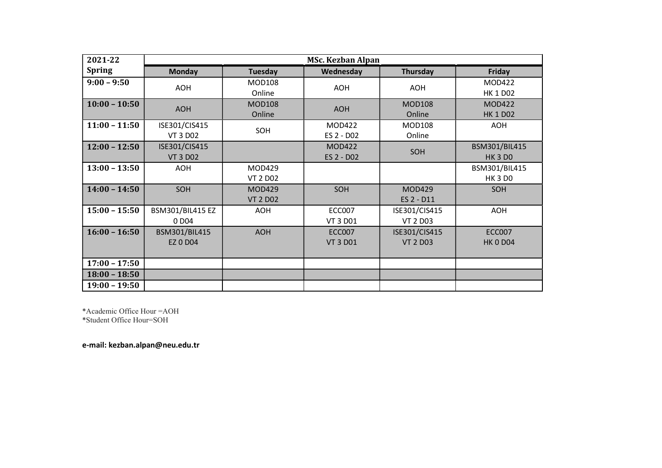| 2021-22         | <b>MSc. Kezban Alpan</b>               |                                  |                                  |                                  |                                  |  |
|-----------------|----------------------------------------|----------------------------------|----------------------------------|----------------------------------|----------------------------------|--|
| <b>Spring</b>   | <b>Monday</b>                          | Tuesday                          | Wednesday                        | Thursday                         | Friday                           |  |
| $9:00 - 9:50$   | <b>AOH</b>                             | <b>MOD108</b><br>Online          | <b>AOH</b>                       | <b>AOH</b>                       | <b>MOD422</b><br><b>HK 1 D02</b> |  |
| $10:00 - 10:50$ | <b>AOH</b>                             | <b>MOD108</b><br>Online          | <b>AOH</b>                       | <b>MOD108</b><br>Online          | <b>MOD422</b><br><b>HK 1 D02</b> |  |
| $11:00 - 11:50$ | ISE301/CIS415<br><b>VT 3 D02</b>       | SOH                              | <b>MOD422</b><br>ES 2 - D02      | <b>MOD108</b><br>Online          | <b>AOH</b>                       |  |
| $12:00 - 12:50$ | ISE301/CIS415<br><b>VT 3 D02</b>       |                                  | <b>MOD422</b><br>ES 2 - D02      | SOH                              | BSM301/BIL415<br><b>HK 3 DO</b>  |  |
| $13:00 - 13:50$ | <b>AOH</b>                             | MOD429<br><b>VT 2 D02</b>        |                                  |                                  | BSM301/BIL415<br><b>HK 3 DO</b>  |  |
| $14:00 - 14:50$ | SOH                                    | <b>MOD429</b><br><b>VT 2 D02</b> | SOH                              | <b>MOD429</b><br>ES 2 - D11      | SOH                              |  |
| $15:00 - 15:50$ | BSM301/BIL415 EZ<br>0 D <sub>0</sub> 4 | <b>AOH</b>                       | <b>ECC007</b><br>VT 3 D01        | ISE301/CIS415<br><b>VT 2 D03</b> | <b>AOH</b>                       |  |
| $16:00 - 16:50$ | BSM301/BIL415<br><b>EZ 0 D04</b>       | <b>AOH</b>                       | <b>ECC007</b><br><b>VT 3 D01</b> | ISE301/CIS415<br><b>VT 2 D03</b> | <b>ECC007</b><br><b>HK 0 D04</b> |  |
| $17:00 - 17:50$ |                                        |                                  |                                  |                                  |                                  |  |
| $18:00 - 18:50$ |                                        |                                  |                                  |                                  |                                  |  |
| $19:00 - 19:50$ |                                        |                                  |                                  |                                  |                                  |  |

\*Academic Office Hour =AOH

\*Student Office Hour=SOH

e-mail: kezban.alpan@neu.edu.tr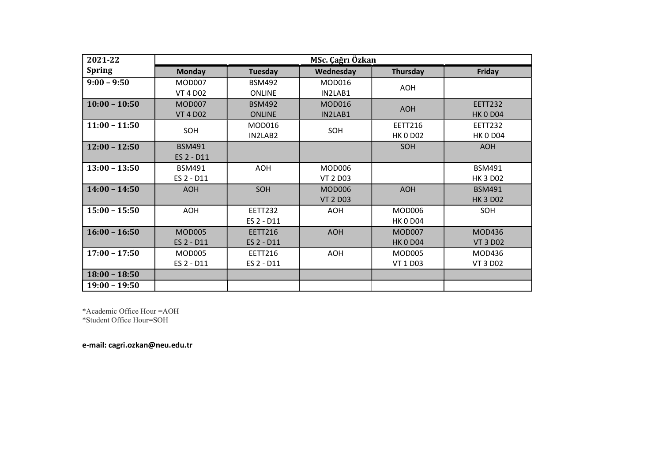| 2021-22         | MSc. Çağrı Özkan |                |                 |                 |                 |
|-----------------|------------------|----------------|-----------------|-----------------|-----------------|
| <b>Spring</b>   | <b>Monday</b>    | Tuesday        | Wednesday       | Thursday        | Friday          |
| $9:00 - 9:50$   | <b>MOD007</b>    | <b>BSM492</b>  | <b>MOD016</b>   | <b>AOH</b>      |                 |
|                 | <b>VT 4 D02</b>  | <b>ONLINE</b>  | IN2LAB1         |                 |                 |
| $10:00 - 10:50$ | <b>MOD007</b>    | <b>BSM492</b>  | <b>MOD016</b>   | <b>AOH</b>      | <b>EETT232</b>  |
|                 | <b>VT 4 D02</b>  | <b>ONLINE</b>  | IN2LAB1         |                 | <b>HK 0 D04</b> |
| $11:00 - 11:50$ | SOH              | MOD016         | SOH             | <b>EETT216</b>  | <b>EETT232</b>  |
|                 |                  | IN2LAB2        |                 | <b>HK 0 D02</b> | <b>HK 0 D04</b> |
| $12:00 - 12:50$ | <b>BSM491</b>    |                |                 | SOH             | <b>AOH</b>      |
|                 | ES 2 - D11       |                |                 |                 |                 |
| $13:00 - 13:50$ | <b>BSM491</b>    | <b>AOH</b>     | MOD006          |                 | <b>BSM491</b>   |
|                 | ES 2 - D11       |                | <b>VT 2 D03</b> |                 | <b>HK 3 D02</b> |
| $14:00 - 14:50$ | <b>AOH</b>       | SOH            | MOD006          | <b>AOH</b>      | <b>BSM491</b>   |
|                 |                  |                | <b>VT 2 D03</b> |                 | <b>HK 3 D02</b> |
| $15:00 - 15:50$ | <b>AOH</b>       | <b>EETT232</b> | <b>AOH</b>      | <b>MOD006</b>   | SOH             |
|                 |                  | ES 2 - D11     |                 | <b>HK 0 D04</b> |                 |
| $16:00 - 16:50$ | <b>MOD005</b>    | <b>EETT216</b> | <b>AOH</b>      | <b>MOD007</b>   | MOD436          |
|                 | ES 2 - D11       | ES 2 - D11     |                 | <b>HK 0 D04</b> | <b>VT 3 D02</b> |
| $17:00 - 17:50$ | <b>MOD005</b>    | EETT216        | <b>AOH</b>      | <b>MOD005</b>   | MOD436          |
|                 | ES 2 - D11       | ES 2 - D11     |                 | VT 1 D03        | <b>VT 3 D02</b> |
| $18:00 - 18:50$ |                  |                |                 |                 |                 |
| $19:00 - 19:50$ |                  |                |                 |                 |                 |

\*Academic Office Hour =AOH

\*Student Office Hour=SOH

e-mail: cagri.ozkan@neu.edu.tr